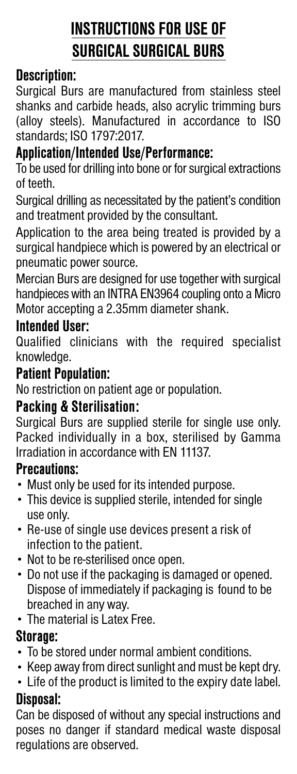# **INSTRUCTIONS FOR USE OF SURGICAL SURGICAL BURS**

## **Description:**

Surgical Burs are manufactured from stainless steel shanks and carbide heads, also acrylic trimming burs (alloy steels). Manufactured in accordance to ISO standards; ISO 1797:2017.

### **Application/Intended Use/Performance:**

To be used for drilling into bone or for surgical extractions of teeth.

Surgical drilling as necessitated by the patient's condition and treatment provided by the consultant.

Application to the area being treated is provided by a surgical handpiece which is powered by an electrical or pneumatic power source.

Mercian Burs are designed for use together with surgical handpieces with an INTRA EN3964 coupling onto a Micro Motor accepting a 2.35mm diameter shank.

#### **Intended User:**

Qualified clinicians with the required specialist knowledge.

### **Patient Population:**

No restriction on patient age or population.

### **Packing & Sterilisation:**

Surgical Burs are supplied sterile for single use only. Packed individually in a box, sterilised by Gamma Irradiation in accordance with EN 11137.

#### **Precautions:**

- Must only be used for its intended purpose.
- This device is supplied sterile, intended for single use only.
- Re-use of single use devices present a risk of infection to the patient.
- Not to be re-sterilised once open.
- Do not use if the packaging is damaged or opened. Dispose of immediately if packaging is found to be breached in any way.
- The material is Latex Free.

### **Storage:**

- To be stored under normal ambient conditions.
- Keep away from direct sunlight and must be kept dry.
- Life of the product is limited to the expiry date label.

### **Disposal:**

Can be disposed of without any special instructions and poses no danger if standard medical waste disposal regulations are observed.